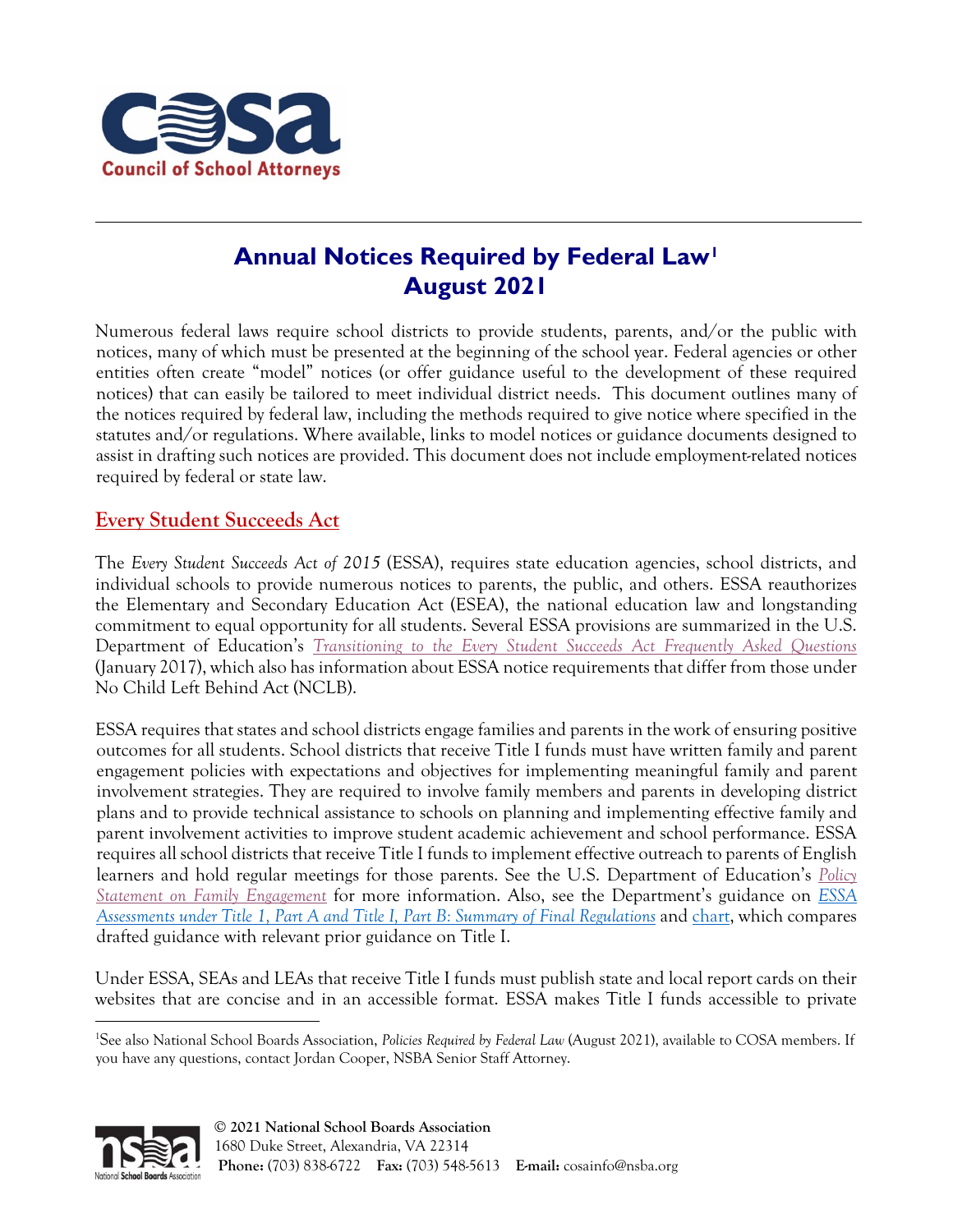

# **Annual Notices Required by Federal Law[1](#page-0-0) August 2021**

Numerous federal laws require school districts to provide students, parents, and/or the public with notices, many of which must be presented at the beginning of the school year. Federal agencies or other entities often create "model" notices (or offer guidance useful to the development of these required notices) that can easily be tailored to meet individual district needs. This document outlines many of the notices required by federal law, including the methods required to give notice where specified in the statutes and/or regulations. Where available, links to model notices or guidance documents designed to assist in drafting such notices are provided. This document does not include employment-related notices required by federal or state law.

## **Every Student Succeeds Act**

The *Every Student Succeeds Act of 2015* (ESSA), requires state education agencies, school districts, and individual schools to provide numerous notices to parents, the public, and others. ESSA reauthorizes the Elementary and Secondary Education Act (ESEA), the national education law and longstanding commitment to equal opportunity for all students. Several ESSA provisions are summarized in the U.S. Department of Education's *[Transitioning to the Every Student Succeeds Act Frequently Asked Questions](https://www2.ed.gov/policy/elsec/leg/essa/essatransitionfaqs11817.pdf)* (January 2017), which also has information about ESSA notice requirements that differ from those under No Child Left Behind Act (NCLB).

ESSA requires that states and school districts engage families and parents in the work of ensuring positive outcomes for all students. School districts that receive Title I funds must have written family and parent engagement policies with expectations and objectives for implementing meaningful family and parent involvement strategies. They are required to involve family members and parents in developing district plans and to provide technical assistance to schools on planning and implementing effective family and parent involvement activities to improve student academic achievement and school performance. ESSA requires all school districts that receive Title I funds to implement effective outreach to parents of English learners and hold regular meetings for those parents. See the U.S. Department of Education's *[Policy](https://www2.ed.gov/about/inits/ed/earlylearning/files/policy-statement-on-family-engagement.pdf)  [Statement on Family Engagement](https://www2.ed.gov/about/inits/ed/earlylearning/files/policy-statement-on-family-engagement.pdf)* for more information. Also, see the Department's guidance on *[ESSA](https://www2.ed.gov/policy/elsec/leg/essa/essaassessmentfactsheet1207.pdf)  [Assessments under Title 1, Part A and Title I, Part B: Summary of Final Regulations](https://www2.ed.gov/policy/elsec/leg/essa/essaassessmentfactsheet1207.pdf)* and [chart,](https://www2.ed.gov/policy/elsec/leg/essa/equitableserviceguidancecrosswalk32719.pdf) which compares drafted guidance with relevant prior guidance on Title I.

Under ESSA, SEAs and LEAs that receive Title I funds must publish state and local report cards on their websites that are concise and in an accessible format. ESSA makes Title I funds accessible to private

<span id="page-0-0"></span><sup>&</sup>lt;sup>1</sup>See also National School Boards Association, *Policies Required by Federal Law* (August 2021), available to COSA members. If you have any questions, contact Jordan Cooper, NSBA Senior Staff Attorney.

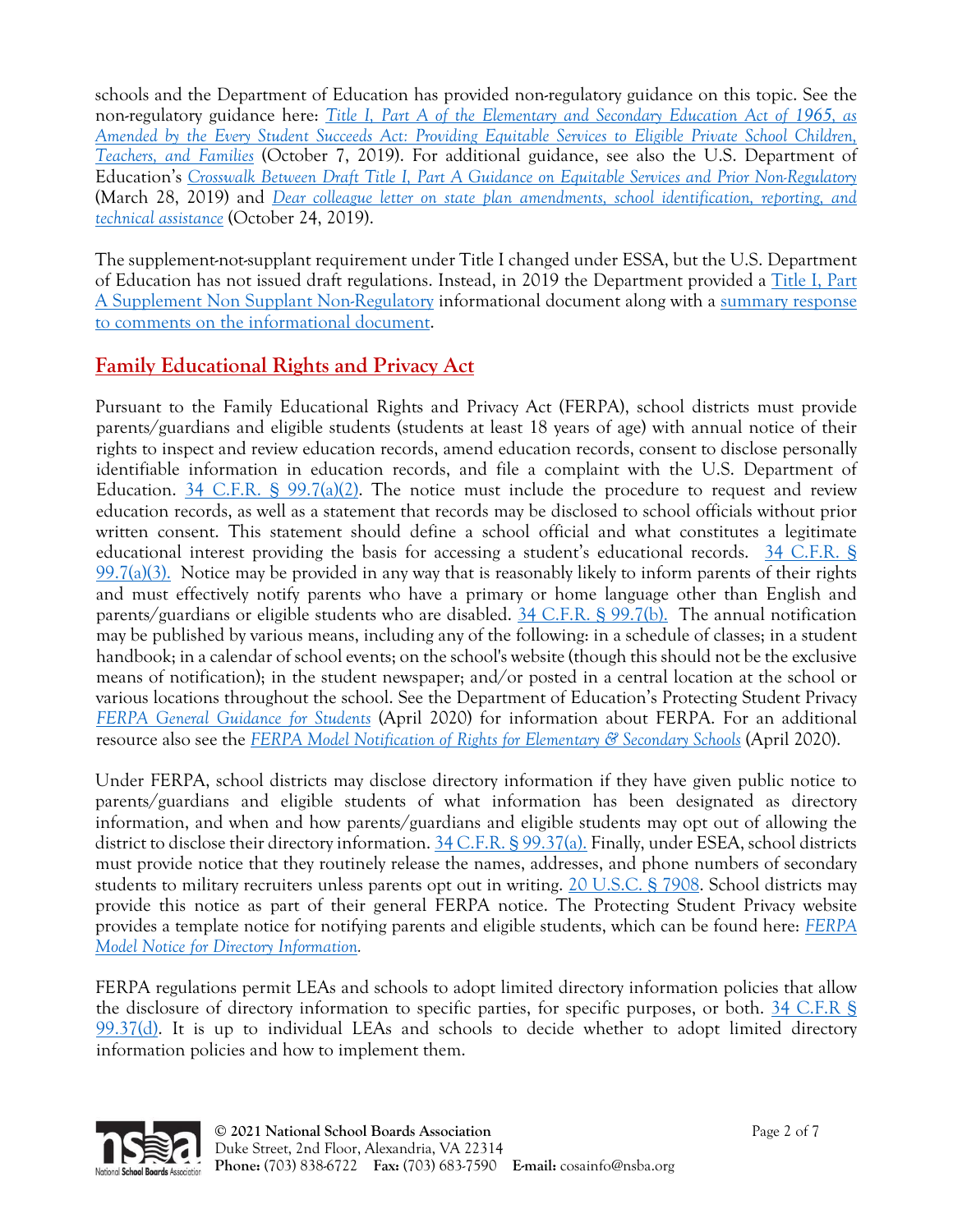schools and the Department of Education has provided non-regulatory guidance on this topic. See the non-regulatory guidance here: *[Title I, Part A of the Elementary and Secondary Education Act of 1965, as](https://www2.ed.gov/about/inits/ed/non-public-education/files/equitable-services-guidance-100419.pdf)  [Amended by the Every Student Succeeds Act: Providing Equitable Services to Eligible Private School Children,](https://www2.ed.gov/about/inits/ed/non-public-education/files/equitable-services-guidance-100419.pdf)  [Teachers, and Families](https://www2.ed.gov/about/inits/ed/non-public-education/files/equitable-services-guidance-100419.pdf)* (October 7, 2019). For additional guidance, see also the U.S. Department of Education's *[Crosswalk Between Draft Title I, Part A Guidance on Equitable Services and Prior Non-Regulatory](https://www2.ed.gov/policy/elsec/leg/essa/equitableserviceguidancecrosswalk32719.pdf)* (March 28, 2019) and *[Dear colleague letter on state plan amendments, school identification, reporting, and](https://www2.ed.gov/admins/lead/account/stateplan17/schoolidandamendments102419.pdf)  [technical assistance](https://www2.ed.gov/admins/lead/account/stateplan17/schoolidandamendments102419.pdf)* (October 24, 2019).

The supplement-not-supplant requirement under Title I changed under ESSA, but the U.S. Department of Education has not issued draft regulations. Instead, in 2019 the Department provided a [Title I, Part](https://www2.ed.gov/policy/elsec/leg/essa/snsfinalguidance06192019.pdf)  [A Supplement Non Supplant Non-Regulatory](https://www2.ed.gov/policy/elsec/leg/essa/snsfinalguidance06192019.pdf) informational document along with a [summary response](https://www2.ed.gov/policy/elsec/leg/essa/sns-summaryofcomments062019.pdf)  to comments [on the informational document.](https://www2.ed.gov/policy/elsec/leg/essa/sns-summaryofcomments062019.pdf)

## **Family Educational Rights and Privacy Act**

Pursuant to the Family Educational Rights and Privacy Act (FERPA), school districts must provide parents/guardians and eligible students (students at least 18 years of age) with annual notice of their rights to inspect and review education records, amend education records, consent to disclose personally identifiable information in education records, and file a complaint with the U.S. Department of Education. [34 C.F.R. § 99.7\(a\)\(2\).](http://www.ecfr.gov/cgi-bin/text-idx?SID=edcea1409b4b9d8aaa83fcab2a6fe818&mc=true&node=se34.1.99_17&rgn=div8) The notice must include the procedure to request and review education records, as well as a statement that records may be disclosed to school officials without prior written consent. This statement should define a school official and what constitutes a legitimate educational interest providing the basis for accessing a student's educational records. [34 C.F.R. §](http://www.ecfr.gov/cgi-bin/text-idx?SID=edcea1409b4b9d8aaa83fcab2a6fe818&mc=true&node=se34.1.99_17&rgn=div8)   $99.7(a)(3)$ . Notice may be provided in any way that is reasonably likely to inform parents of their rights and must effectively notify parents who have a primary or home language other than English and parents/guardians or eligible students who are disabled. [34 C.F.R. § 99.7\(b\).](http://www.ecfr.gov/cgi-bin/text-idx?SID=edcea1409b4b9d8aaa83fcab2a6fe818&mc=true&node=se34.1.99_17&rgn=div8) The annual notification may be published by various means, including any of the following: in a schedule of classes; in a student handbook; in a calendar of school events; on the school's website (though this should not be the exclusive means of notification); in the student newspaper; and/or posted in a central location at the school or various locations throughout the school. See the Department of Education's Protecting Student Privacy *[FERPA General Guidance for Students](https://studentprivacy.ed.gov/sites/default/files/resource_document/file/FERPAforeligiblestudents.pdf)* (April 2020) for information about FERPA. For an additional resource also see the *[FERPA Model Notification of Rights for Elementary & Secondary Schools](https://studentprivacy.ed.gov/resources/ferpa-model-notification-rights-elementary-secondary-schools)* (April 2020).

Under FERPA, school districts may disclose directory information if they have given public notice to parents/guardians and eligible students of what information has been designated as directory information, and when and how parents/guardians and eligible students may opt out of allowing the district to disclose their directory information. [34 C.F.R. § 99.37\(a\).](http://www.ecfr.gov/cgi-bin/text-idx?SID=edcea1409b4b9d8aaa83fcab2a6fe818&mc=true&node=se34.1.99_137&rgn=div8) Finally, under ESEA, school districts must provide notice that they routinely release the names, addresses, and phone numbers of secondary students to military recruiters unless parents opt out in writing. [20 U.S.C. § 7908.](https://www.law.cornell.edu/uscode/text/20/7908) School districts may provide this notice as part of their general FERPA notice. The Protecting Student Privacy website provides a template notice for notifying parents and eligible students, which can be found here: *[FERPA](https://studentprivacy.ed.gov/resources/model-notice-directory-information)  [Model Notice for Directory Information.](https://studentprivacy.ed.gov/resources/model-notice-directory-information)* 

FERPA regulations permit LEAs and schools to adopt limited directory information policies that allow the disclosure of directory information to specific parties, for specific purposes, or both. [34 C.F.R §](http://www.ecfr.gov/cgi-bin/text-idx?SID=edcea1409b4b9d8aaa83fcab2a6fe818&mc=true&node=se34.1.99_137&rgn=div8)  [99.37\(d\).](http://www.ecfr.gov/cgi-bin/text-idx?SID=edcea1409b4b9d8aaa83fcab2a6fe818&mc=true&node=se34.1.99_137&rgn=div8) It is up to individual LEAs and schools to decide whether to adopt limited directory information policies and how to implement them.

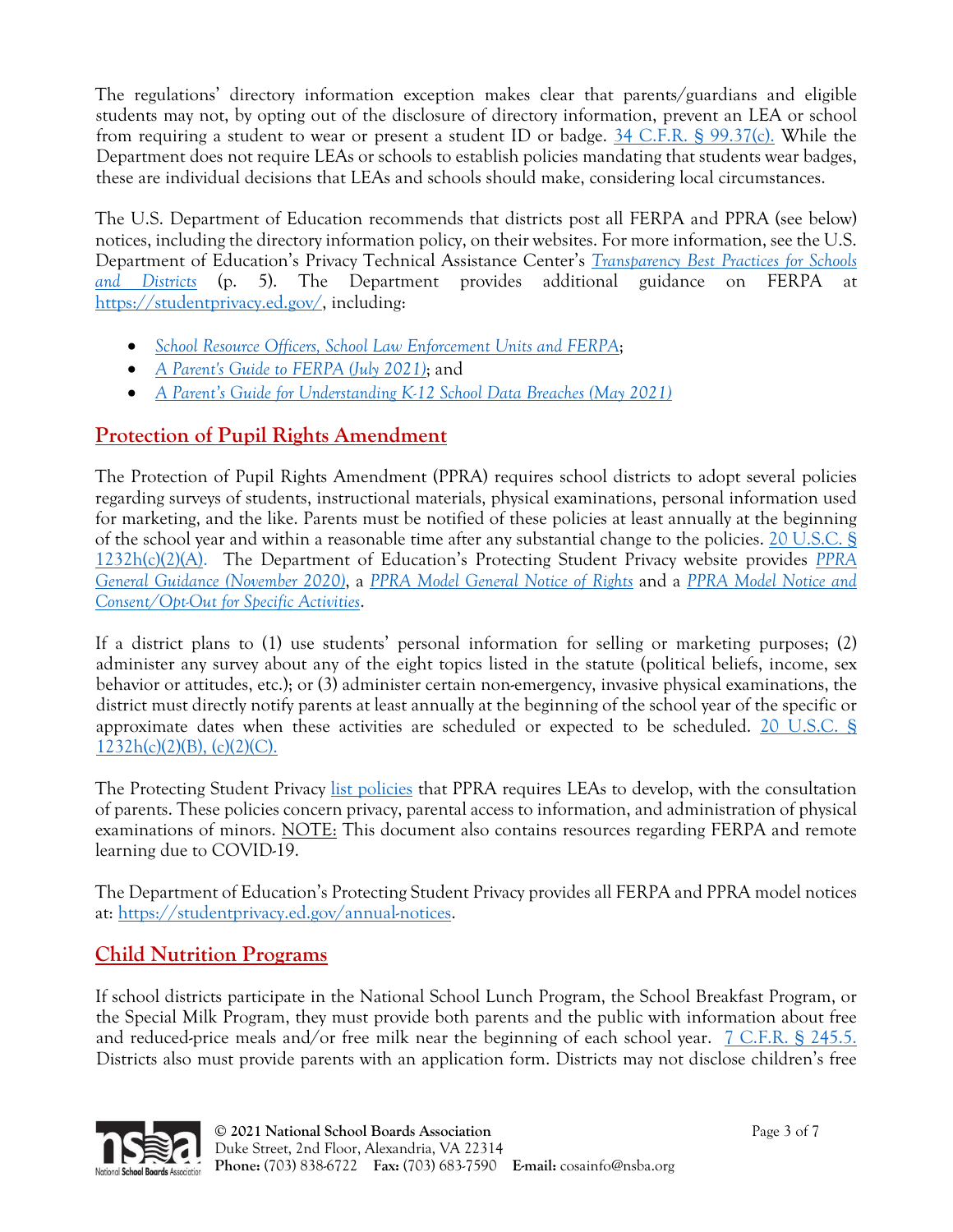The regulations' directory information exception makes clear that parents/guardians and eligible students may not, by opting out of the disclosure of directory information, prevent an LEA or school from requiring a student to wear or present a student ID or badge. [34 C.F.R. § 99.37\(c\).](http://www.ecfr.gov/cgi-bin/text-idx?SID=edcea1409b4b9d8aaa83fcab2a6fe818&mc=true&node=se34.1.99_137&rgn=div8) While the Department does not require LEAs or schools to establish policies mandating that students wear badges, these are individual decisions that LEAs and schools should make, considering local circumstances.

The U.S. Department of Education recommends that districts post all FERPA and PPRA (see below) notices, including the directory information policy, on their websites. For more information, see the U.S. Department of Education's Privacy Technical Assistance Center's *[Transparency Best Practices for Schools](https://studentprivacy.ed.gov/sites/default/files/resource_document/file/LEA%20Transparency%20Best%20Practices%20final.pdf)  and [Districts](https://studentprivacy.ed.gov/sites/default/files/resource_document/file/LEA%20Transparency%20Best%20Practices%20final.pdf)* (p. 5). The Department provides additional guidance on FERPA at [https://studentprivacy.ed.gov/,](https://studentprivacy.ed.gov/) including:

- *[School Resource Officers, School Law Enforcement Units and FERPA](https://studentprivacy.ed.gov/sites/default/files/resource_document/file/SRO_FAQs_2-5-19_0.pdf)*;
- *[A Parent's Guide to FERPA \(July 2021\)](https://studentprivacy.ed.gov/sites/default/files/resource_document/file/A%20parent%20guide%20to%20ferpa_508.pdf)*; and
- *[A Parent's Guide for Understanding K-12 School Data Breaches \(May 2021\)](https://studentprivacy.ed.gov/sites/default/files/resource_document/file/Parent%20Guide%20to%20Data%20Breach.pdf)*

# **Protection of Pupil Rights Amendment**

The Protection of Pupil Rights Amendment (PPRA) requires school districts to adopt several policies regarding surveys of students, instructional materials, physical examinations, personal information used for marketing, and the like. Parents must be notified of these policies at least annually at the beginning of the school year and within a reasonable time after any substantial change to the policies. [20 U.S.C. §](https://www.law.cornell.edu/uscode/text/20/1232h)  [1232h\(c\)\(2\)\(A\).](https://www.law.cornell.edu/uscode/text/20/1232h) The Department of Education's Protecting Student Privacy website provides *[PPRA](https://studentprivacy.ed.gov/sites/default/files/resource_document/file/20-0379.PPRA_508_0.pdf)  [General Guidance \(November 2020\)](https://studentprivacy.ed.gov/sites/default/files/resource_document/file/20-0379.PPRA_508_0.pdf)*, a *[PPRA Model General Notice of Rights](https://studentprivacy.ed.gov/resources/ppra-model-general-notice-rights)* and a *[PPRA Model Notice and](https://studentprivacy.ed.gov/sites/default/files/resource_document/file/ppra-gen-not-cons.doc)  [Consent/Opt-Out for Specific Activities](https://studentprivacy.ed.gov/sites/default/files/resource_document/file/ppra-gen-not-cons.doc)*.

If a district plans to (1) use students' personal information for selling or marketing purposes; (2) administer any survey about any of the eight topics listed in the statute (political beliefs, income, sex behavior or attitudes, etc.); or (3) administer certain non-emergency, invasive physical examinations, the district must directly notify parents at least annually at the beginning of the school year of the specific or approximate dates when these activities are scheduled or expected to be scheduled. [20 U.S.C. §](https://www.law.cornell.edu/uscode/text/20/1232h)   $1232h(c)(2)(B)$ , (c)(2)(C).

The Protecting Student Privacy [list policies](https://studentprivacy.ed.gov/sites/default/files/resource_document/file/Annual%20NoticeCoverLettertoCSSOsandSuperintendentsApril2020.pdf) that PPRA requires LEAs to develop, with the consultation of parents. These policies concern privacy, parental access to information, and administration of physical examinations of minors. NOTE: This document also contains resources regarding FERPA and remote learning due to COVID-19.

The Department of Education's Protecting Student Privacy provides all FERPA and PPRA model notices at: [https://studentprivacy.ed.gov/annual-notices.](https://studentprivacy.ed.gov/annual-notices)

# **Child Nutrition Programs**

If school districts participate in the National School Lunch Program, the School Breakfast Program, or the Special Milk Program, they must provide both parents and the public with information about free and reduced-price meals and/or free milk near the beginning of each school year. [7 C.F.R. § 245.5.](http://www.ecfr.gov/cgi-bin/text-idx?SID=edcea1409b4b9d8aaa83fcab2a6fe818&mc=true&node=se7.4.245_15&rgn=div8) Districts also must provide parents with an application form. Districts may not disclose children's free

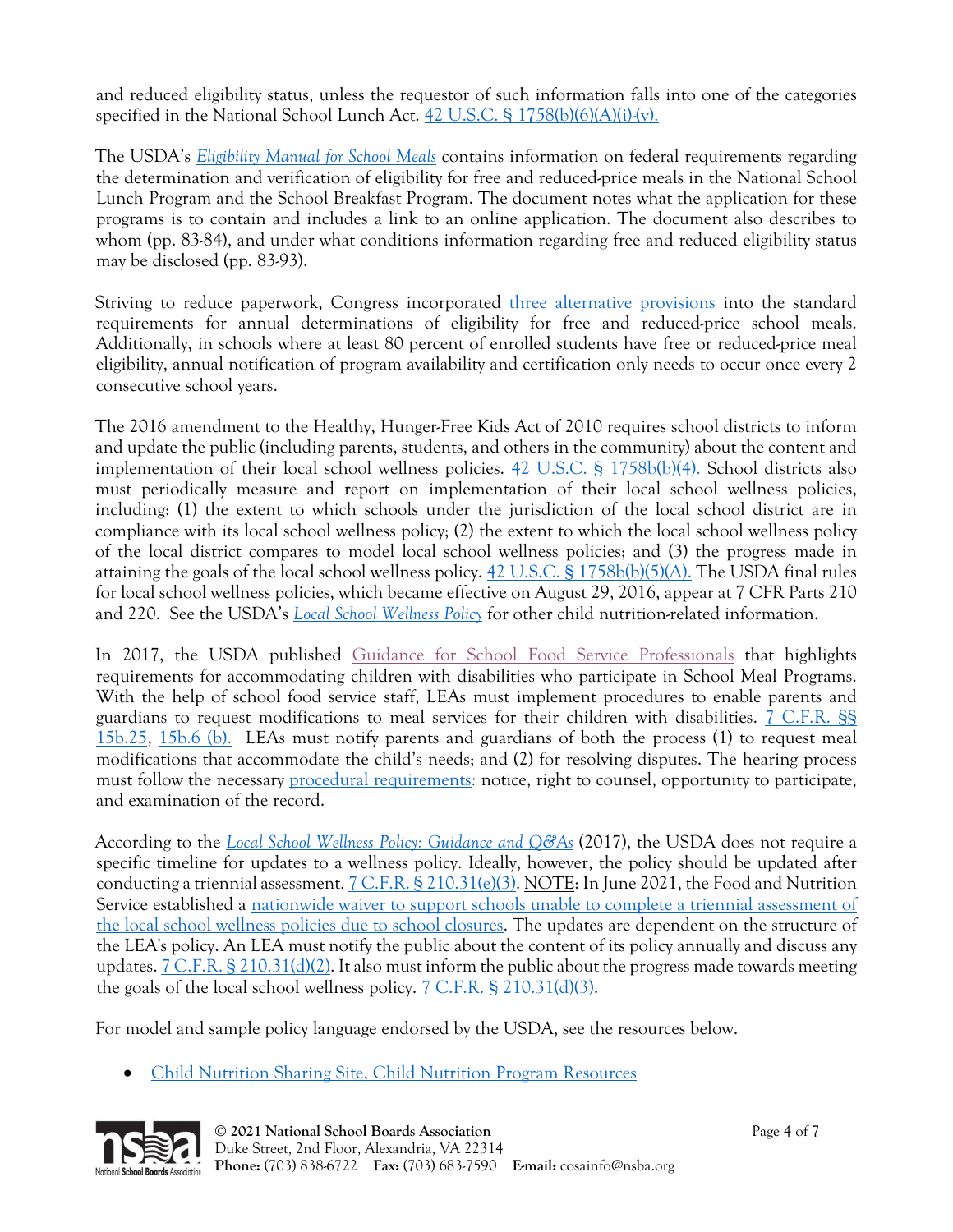and reduced eligibility status, unless the requestor of such information falls into one of the categories specified in the National School Lunch Act. [42 U.S.C. § 1758\(b\)\(6\)\(A\)\(i\)-\(v\).](https://www.law.cornell.edu/uscode/text/42/1758)

The USDA's *[Eligibility Manual for School Meals](https://fns-prod.azureedge.net/sites/default/files/cn/SP36_CACFP15_SFSP11-2017a1.pdf)* contains information on federal requirements regarding the determination and verification of eligibility for free and reduced-price meals in the National School Lunch Program and the School Breakfast Program. The document notes what the application for these programs is to contain and includes a link to an online application. The document also describes to whom (pp. 83-84), and under what conditions information regarding free and reduced eligibility status may be disclosed (pp. 83-93).

Striving to reduce paperwork, Congress incorporated [three alternative provisions](https://www.fns.usda.gov/school-meals/provisions-1-2-and-3) into the standard requirements for annual determinations of eligibility for free and reduced-price school meals. Additionally, in schools where at least 80 percent of enrolled students have free or reduced-price meal eligibility, annual notification of program availability and certification only needs to occur once every 2 consecutive school years.

The 2016 amendment to the Healthy, Hunger-Free Kids Act of 2010 requires school districts to inform and update the public (including parents, students, and others in the community) about the content and implementation of their local school wellness policies. [42 U.S.C. § 1758b\(b\)\(4\).](https://www.law.cornell.edu/uscode/text/42/1758b) School districts also must periodically measure and report on implementation of their local school wellness policies, including: (1) the extent to which schools under the jurisdiction of the local school district are in compliance with its local school wellness policy; (2) the extent to which the local school wellness policy of the local district compares to model local school wellness policies; and (3) the progress made in attaining the goals of the local school wellness policy. [42 U.S.C. § 1758b\(b\)\(5\)\(A\).](https://www.law.cornell.edu/uscode/text/42/1758b) The USDA final rules for local school wellness policies, which became effective on August 29, 2016, appear at 7 CFR Parts 210 and 220. See the USDA's *[Local School Wellness Policy](https://www.fns.usda.gov/tn/local-school-wellness-policy)* for other child nutrition-related information.

In 2017, the USDA published [Guidance for School Food Service Professionals](https://fns-prod.azureedge.net/sites/default/files/cn/SP40-2017a1.pdf) that highlights requirements for accommodating children with disabilities who participate in School Meal Programs. With the help of school food service staff, LEAs must implement procedures to enable parents and guardians to request modifications to meal services for their children with disabilities. [7 C.F.R. §§](https://www.law.cornell.edu/cfr/text/7/15b.25)  [15b.25,](https://www.law.cornell.edu/cfr/text/7/15b.25) [15b.6 \(b\).](https://www.law.cornell.edu/cfr/text/7/15b.6) LEAs must notify parents and guardians of both the process (1) to request meal modifications that accommodate the child's needs; and (2) for resolving disputes. The hearing process must follow the necessary [procedural requirements](https://fns-prod.azureedge.net/sites/default/files/cn/SP26-2017os.pdf)*:* notice, right to counsel, opportunity to participate, and examination of the record.

According to the *[Local School Wellness Policy: Guidance and Q&As](https://fns-prod.azureedge.net/sites/default/files/cn/SP24-2017os.pdf)* (2017), the USDA does not require a specific timeline for updates to a wellness policy. Ideally, however, the policy should be updated after conducting a triennial assessment.  $7 \text{ C.F.R. }$  § 210.31(e)(3). NOTE: In June 2021, the Food and Nutrition Service established a [nationwide waiver to support schools unable to complete a triennial assessment of](https://www.fns.usda.gov/cn/covid19-child-nutrition-response-98)  [the local school wellness policies due to school closures.](https://www.fns.usda.gov/cn/covid19-child-nutrition-response-98) The updates are dependent on the structure of the LEA's policy. An LEA must notify the public about the content of its policy annually and discuss any updates.  $7 \text{ C.F.R.}$  §  $210.31 \text{ (d)} \text{ (2)}$ . It also must inform the public about the progress made towards meeting the goals of the local school wellness policy. [7 C.F.R. § 210.31\(d\)\(3\).](https://www.ecfr.gov/cgi-bin/text-idx?SID=2faf7406a484359757399aa8d34bebea&mc=true&node=se7.4.210_131&rgn=div8)

For model and sample policy language endorsed by the USDA, see the resources below.

• [Child Nutrition Sharing Site, Child Nutrition Program Resources](https://theicn.org/cnss/view/approved-public-resources/?gv_search=&filter_31=cntp-5&filter_32%5B%5D=&filter_14=&mode=all)

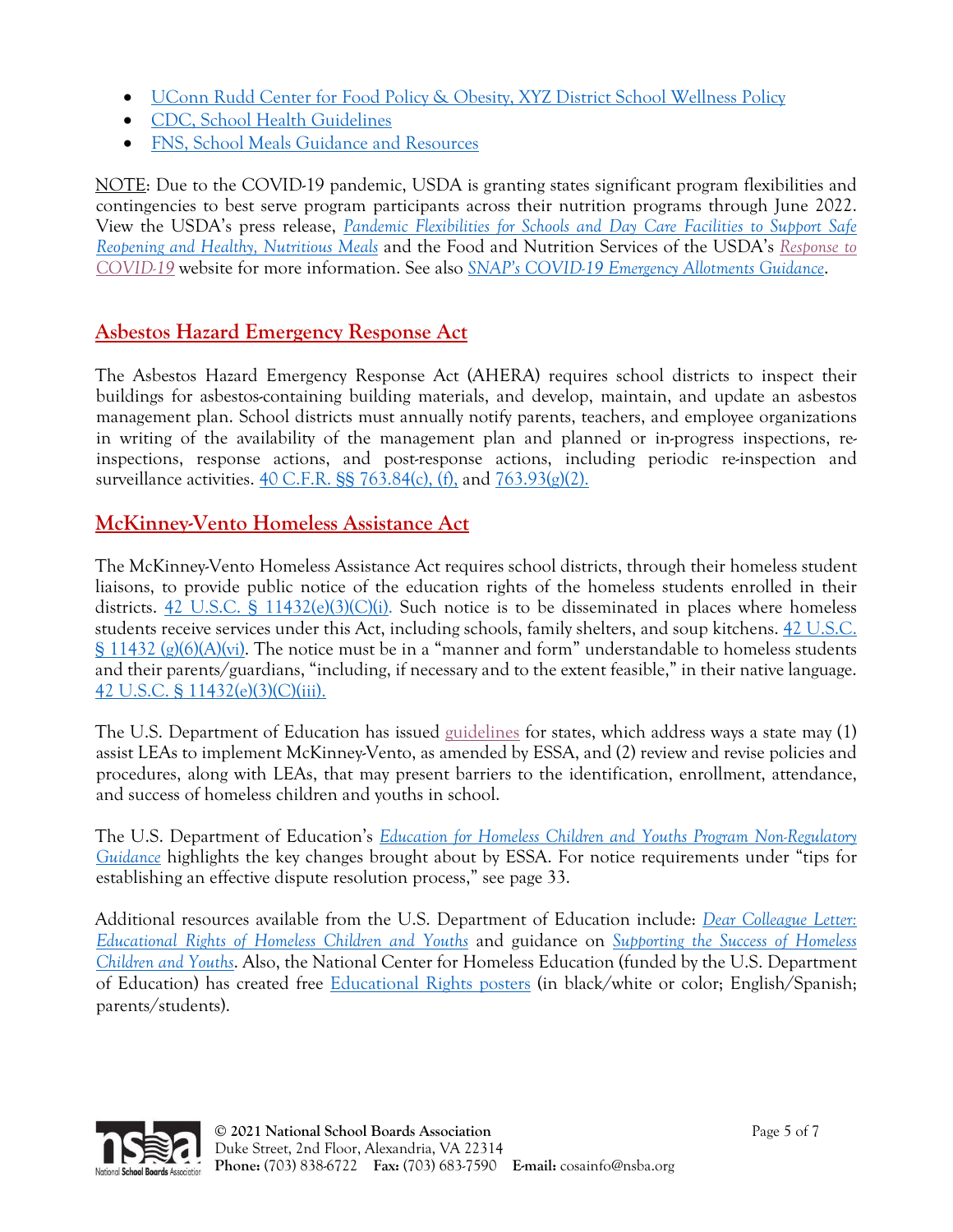- [UConn Rudd Center for Food Policy & Obesity, XYZ District School Wellness Policy](https://media.ruddcenter.uconn.edu/PDFs/Model_Wellness_Policy_rev%203-3-16.pdf)
- [CDC, School Health Guidelines](https://www.cdc.gov/healthyschools/npao/strategies.htm)
- [FNS, School Meals Guidance and Resources](https://www.fns.usda.gov/school-meals/guidance-and-resources)

NOTE: Due to the COVID-19 pandemic, USDA is granting states significant program flexibilities and contingencies to best serve program participants across their nutrition programs through June 2022. View the USDA's press release, *[Pandemic Flexibilities for Schools and Day Care Facilities to Support Safe](https://www.usda.gov/media/press-releases/2021/04/20/usda-issues-pandemic-flexibilities-schools-and-day-care-facilities)  [Reopening and Healthy, Nutritious Meals](https://www.usda.gov/media/press-releases/2021/04/20/usda-issues-pandemic-flexibilities-schools-and-day-care-facilities)* and the Food and Nutrition Services of the USDA's *[Response to](https://www.fns.usda.gov/disaster/pandemic/covid-19)  [COVID-19](https://www.fns.usda.gov/disaster/pandemic/covid-19)* website for more information. See also *SNAP's [COVID-19 Emergency Allotments Guidance](https://www.fns.usda.gov/snap/covid-19-emergency-allotments-guidance)*.

## **Asbestos Hazard Emergency Response Act**

The Asbestos Hazard Emergency Response Act (AHERA) requires school districts to inspect their buildings for asbestos-containing building materials, and develop, maintain, and update an asbestos management plan. School districts must annually notify parents, teachers, and employee organizations in writing of the availability of the management plan and planned or in-progress inspections, reinspections, response actions, and post-response actions, including periodic re-inspection and surveillance activities.  $40 \text{ C.F.R.}$  \$§ 763.84(c), (f), and  $763.93(g)(2)$ .

#### **McKinney-Vento Homeless Assistance Act**

The McKinney-Vento Homeless Assistance Act requires school districts, through their homeless student liaisons, to provide public notice of the education rights of the homeless students enrolled in their districts.  $42 \text{ U.S.C. }$  §  $11432 \text{ (e)}(3) \text{ (C)}$ (i). Such notice is to be disseminated in places where homeless students receive services under this Act, including schools, family shelters, and soup kitchens. [42 U.S.C.](https://www.law.cornell.edu/uscode/text/42/11432)   $\S$  11432 (g)(6)(A)(vi). The notice must be in a "manner and form" understandable to homeless students and their parents/guardians, "including, if necessary and to the extent feasible," in their native language. [42 U.S.C. § 11432\(e\)\(3\)\(C\)\(iii\).](https://www.law.cornell.edu/uscode/text/42/11432)

The U.S. Department of Education has issued [guidelines](https://www.govinfo.gov/content/pkg/FR-2016-03-17/pdf/2016-06073.pdf) for states, which address ways a state may (1) assist LEAs to implement McKinney-Vento, as amended by ESSA, and (2) review and revise policies and procedures, along with LEAs, that may present barriers to the identification, enrollment, attendance, and success of homeless children and youths in school.

The U.S. Department of Education's *[Education for Homeless Children and Youths Program Non-Regulatory](https://www2.ed.gov/policy/elsec/leg/essa/160240ehcyguidanceupdated082718.docx)  [Guidance](https://www2.ed.gov/policy/elsec/leg/essa/160240ehcyguidanceupdated082718.docx)* highlights the key changes brought about by ESSA. For notice requirements under "tips for establishing an effective dispute resolution process," see page 33.

Additional resources available from the U.S. Department of Education include: *[Dear Colleague Letter:](https://www2.ed.gov/policy/elsec/guid/secletter/160726.html)  [Educational Rights of Homeless Children and Youths](https://www2.ed.gov/policy/elsec/guid/secletter/160726.html)* and guidance on *[Supporting the Success of Homeless](https://www2.ed.gov/policy/elsec/leg/essa/160315ehcyfactsheet072716.pdf)  [Children and Youths](https://www2.ed.gov/policy/elsec/leg/essa/160315ehcyfactsheet072716.pdf)*. Also, the National Center for Homeless Education (funded by the U.S. Department of Education) has created free **Educational Rights posters** (in black/white or color; English/Spanish; parents/students).

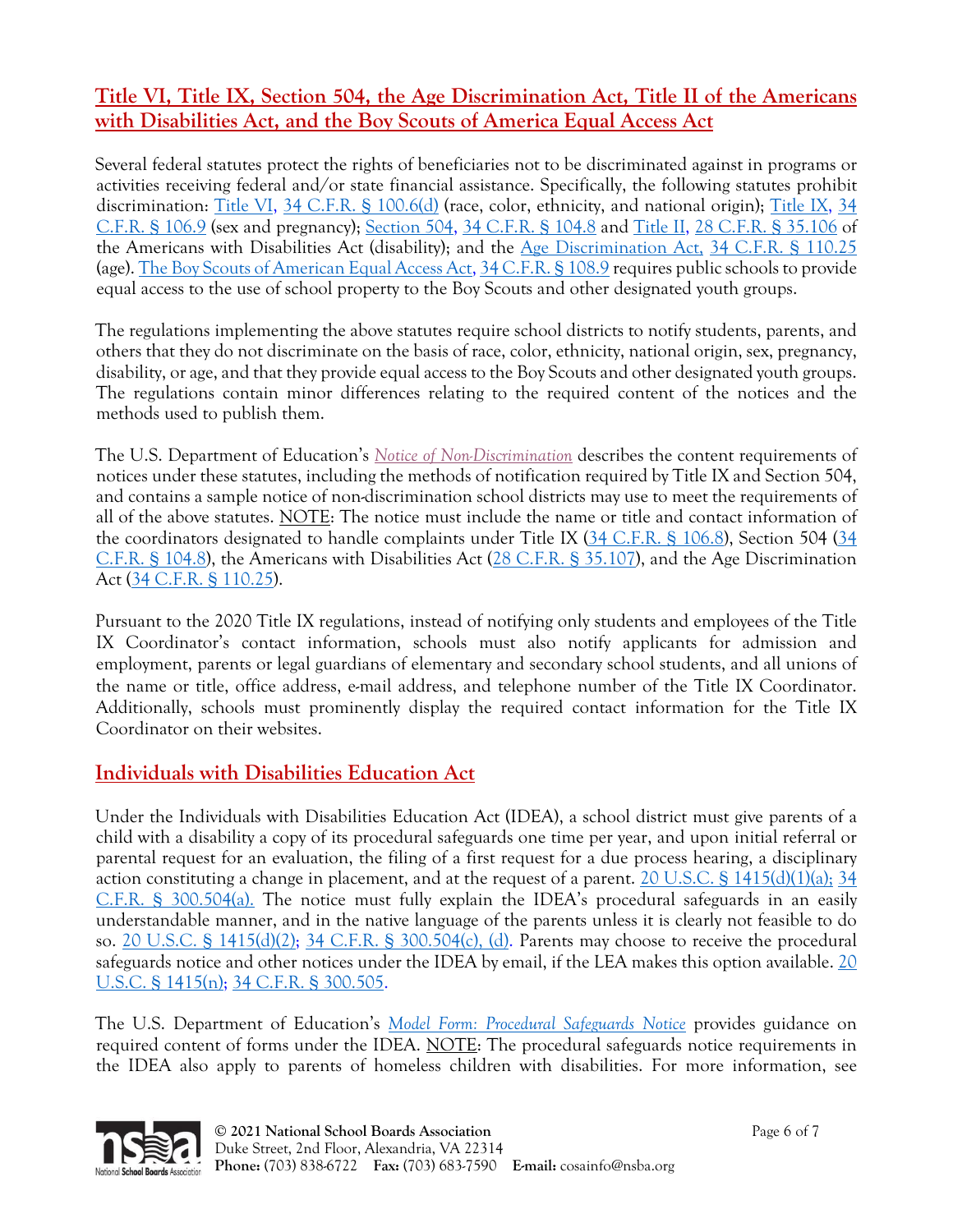## **Title VI, Title IX, Section 504, the Age Discrimination Act, Title II of the Americans with Disabilities Act, and the Boy Scouts of America Equal Access Act**

Several federal statutes protect the rights of beneficiaries not to be discriminated against in programs or activities receiving federal and/or state financial assistance. Specifically, the following statutes prohibit discrimination: [Title VI,](https://www.law.cornell.edu/uscode/text/42/2000d) [34 C.F.R. § 100.6\(d\)](http://www.ecfr.gov/cgi-bin/text-idx?SID=edcea1409b4b9d8aaa83fcab2a6fe818&mc=true&node=se34.1.100_16&rgn=div8) (race, color, ethnicity, and national origin); [Title IX,](https://www.law.cornell.edu/uscode/text/20/1681) 34 [C.F.R. § 106.9](http://www.ecfr.gov/cgi-bin/text-idx?SID=edcea1409b4b9d8aaa83fcab2a6fe818&mc=true&node=se34.1.106_19&rgn=div8) (sex and pregnancy); [Section 504,](https://www.law.cornell.edu/uscode/text/29/794) [34 C.F.R. § 104.8](http://www.ecfr.gov/cgi-bin/text-idx?SID=edcea1409b4b9d8aaa83fcab2a6fe818&mc=true&node=se34.1.104_18&rgn=div8) and [Title II,](https://www.law.cornell.edu/uscode/text/42/chapter-126) [28 C.F.R. § 35.106](http://www.ecfr.gov/cgi-bin/text-idx?SID=edcea1409b4b9d8aaa83fcab2a6fe818&mc=true&node=se28.1.35_1106&rgn=div8) of the Americans with Disabilities Act (disability); and the [Age Discrimination Act,](https://www.law.cornell.edu/uscode/text/29/chapter-14) [34 C.F.R. § 110.25](http://www.ecfr.gov/cgi-bin/text-idx?SID=edcea1409b4b9d8aaa83fcab2a6fe818&mc=true&node=se34.1.110_125&rgn=div8) (age). [The Boy Scouts of American Equal Access Act,](https://www.law.cornell.edu/uscode/text/20/7905) [34 C.F.R. § 108.9](http://www.ecfr.gov/cgi-bin/text-idx?SID=edcea1409b4b9d8aaa83fcab2a6fe818&mc=true&node=se34.1.108_19&rgn=div8) requires public schools to provide equal access to the use of school property to the Boy Scouts and other designated youth groups.

The regulations implementing the above statutes require school districts to notify students, parents, and others that they do not discriminate on the basis of race, color, ethnicity, national origin, sex, pregnancy, disability, or age, and that they provide equal access to the Boy Scouts and other designated youth groups. The regulations contain minor differences relating to the required content of the notices and the methods used to publish them.

The U.S. Department of Education's *[Notice of Non-Discrimination](http://www2.ed.gov/print/about/offices/list/ocr/docs/nondisc.html)* describes the content requirements of notices under these statutes, including the methods of notification required by Title IX and Section 504, and contains a sample notice of non-discrimination school districts may use to meet the requirements of all of the above statutes. NOTE: The notice must include the name or title and contact information of the coordinators designated to handle complaints under Title IX [\(34 C.F.R. § 106.8\)](https://www.law.cornell.edu/cfr/text/34/106.8), Section 504 (34 [C.F.R. § 104.8\)](http://www.ecfr.gov/cgi-bin/text-idx?SID=edcea1409b4b9d8aaa83fcab2a6fe818&mc=true&node=se34.1.104_18&rgn=div8), the Americans with Disabilities Act [\(28 C.F.R. § 35.107\)](http://www.ecfr.gov/cgi-bin/text-idx?SID=edcea1409b4b9d8aaa83fcab2a6fe818&mc=true&node=se28.1.35_1107&rgn=div8), and the Age Discrimination Act [\(34 C.F.R. § 110.25\)](http://www.ecfr.gov/cgi-bin/text-idx?SID=edcea1409b4b9d8aaa83fcab2a6fe818&mc=true&node=se34.1.110_125&rgn=div8).

Pursuant to the 2020 Title IX regulations, instead of notifying only students and employees of the Title IX Coordinator's contact information, schools must also notify applicants for admission and employment, parents or legal guardians of elementary and secondary school students, and all unions of the name or title, office address, e-mail address, and telephone number of the Title IX Coordinator. Additionally, schools must prominently display the required contact information for the Title IX Coordinator on their websites.

# **Individuals with Disabilities Education Act**

Under the Individuals with Disabilities Education Act (IDEA), a school district must give parents of a child with a disability a copy of its procedural safeguards one time per year, and upon initial referral or parental request for an evaluation, the filing of a first request for a due process hearing, a disciplinary action constituting a change in placement, and at the request of a parent. [20 U.S.C. § 1415\(d\)\(1\)\(a\);](https://www.law.cornell.edu/uscode/text/20/1415) 34 [C.F.R. § 300.504\(a\).](http://www.ecfr.gov/cgi-bin/text-idx?SID=edcea1409b4b9d8aaa83fcab2a6fe818&mc=true&node=se34.2.300_1504&rgn=div8) The notice must fully explain the IDEA's procedural safeguards in an easily understandable manner, and in the native language of the parents unless it is clearly not feasible to do so. [20 U.S.C. § 1415\(d\)\(2\);](https://www.law.cornell.edu/uscode/text/20/1415) [34 C.F.R. § 300.504\(c\), \(d\).](http://www.ecfr.gov/cgi-bin/text-idx?SID=edcea1409b4b9d8aaa83fcab2a6fe818&mc=true&node=se34.2.300_1504&rgn=div8) Parents may choose to receive the procedural safeguards notice and other notices under the IDEA by email, if the LEA makes this option available. [20](https://www.law.cornell.edu/uscode/text/20/1415)  [U.S.C. § 1415\(n\);](https://www.law.cornell.edu/uscode/text/20/1415) [34 C.F.R. § 300.505.](http://www.ecfr.gov/cgi-bin/text-idx?SID=edcea1409b4b9d8aaa83fcab2a6fe818&mc=true&node=se34.2.300_1505&rgn=div8)

The U.S. Department of Education's *[Model Form: Procedural Safeguards Notice](https://sites.ed.gov/idea/files/modelform_Procedural_Safeguards_June_2009.pdf)* provides guidance on required content of forms under the IDEA. NOTE: The procedural safeguards notice requirements in the IDEA also apply to parents of homeless children with disabilities. For more information, see